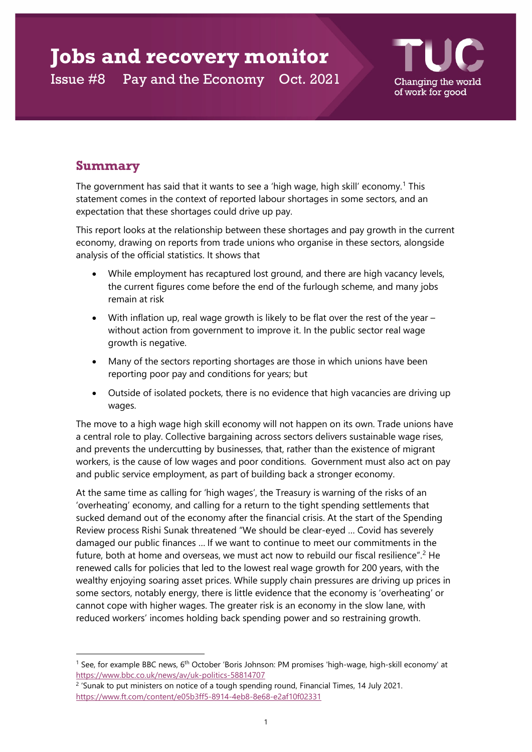# **Jobs and recovery monitor**

Issue #8 Pay and the Economy Oct. 2021



# **Summary**

The government has said that it wants to see a 'high wage, high skill' economy.<sup>[1](#page-0-0)</sup> This statement comes in the context of reported labour shortages in some sectors, and an expectation that these shortages could drive up pay.

This report looks at the relationship between these shortages and pay growth in the current economy, drawing on reports from trade unions who organise in these sectors, alongside analysis of the official statistics. It shows that

- While employment has recaptured lost ground, and there are high vacancy levels, the current figures come before the end of the furlough scheme, and many jobs remain at risk
- With inflation up, real wage growth is likely to be flat over the rest of the year without action from government to improve it. In the public sector real wage growth is negative.
- Many of the sectors reporting shortages are those in which unions have been reporting poor pay and conditions for years; but
- Outside of isolated pockets, there is no evidence that high vacancies are driving up wages.

The move to a high wage high skill economy will not happen on its own. Trade unions have a central role to play. Collective bargaining across sectors delivers sustainable wage rises, and prevents the undercutting by businesses, that, rather than the existence of migrant workers, is the cause of low wages and poor conditions. Government must also act on pay and public service employment, as part of building back a stronger economy.

At the same time as calling for 'high wages', the Treasury is warning of the risks of an 'overheating' economy, and calling for a return to the tight spending settlements that sucked demand out of the economy after the financial crisis. At the start of the Spending Review process Rishi Sunak threatened "We should be clear-eyed … Covid has severely damaged our public finances … If we want to continue to meet our commitments in the future, both at home and overseas, we must act now to rebuild our fiscal resilience".<sup>[2](#page-0-1)</sup> He renewed calls for policies that led to the lowest real wage growth for 200 years, with the wealthy enjoying soaring asset prices. While supply chain pressures are driving up prices in some sectors, notably energy, there is little evidence that the economy is 'overheating' or cannot cope with higher wages. The greater risk is an economy in the slow lane, with reduced workers' incomes holding back spending power and so restraining growth.

<span id="page-0-0"></span><sup>&</sup>lt;sup>1</sup> See, for example BBC news, 6<sup>th</sup> October 'Boris Johnson: PM promises 'high-wage, high-skill economy' at <https://www.bbc.co.uk/news/av/uk-politics-58814707>

<span id="page-0-1"></span><sup>&</sup>lt;sup>2</sup> 'Sunak to put ministers on notice of a tough spending round, Financial Times, 14 July 2021. <https://www.ft.com/content/e05b3ff5-8914-4eb8-8e68-e2af10f02331>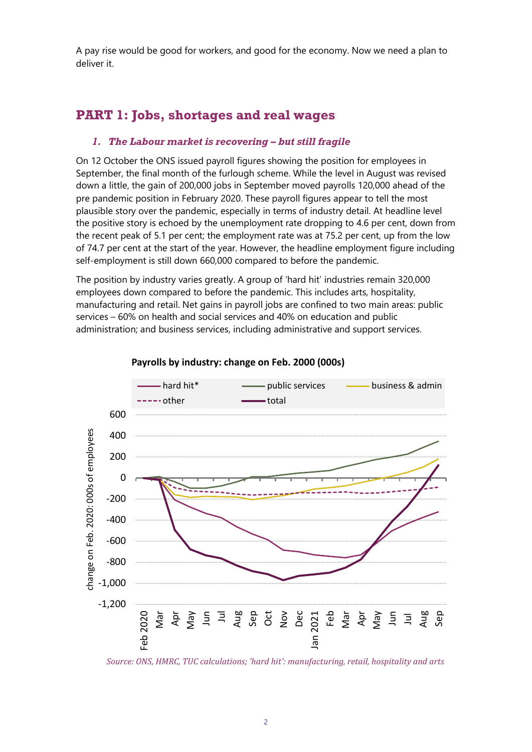A pay rise would be good for workers, and good for the economy. Now we need a plan to deliver it.

# **PART 1: Jobs, shortages and real wages**

## *1. The Labour market is recovering – but still fragile*

On 12 October the ONS issued payroll figures showing the position for employees in September, the final month of the furlough scheme. While the level in August was revised down a little, the gain of 200,000 jobs in September moved payrolls 120,000 ahead of the pre pandemic position in February 2020. These payroll figures appear to tell the most plausible story over the pandemic, especially in terms of industry detail. At headline level the positive story is echoed by the unemployment rate dropping to 4.6 per cent, down from the recent peak of 5.1 per cent; the employment rate was at 75.2 per cent, up from the low of 74.7 per cent at the start of the year. However, the headline employment figure including self-employment is still down 660,000 compared to before the pandemic.

The position by industry varies greatly. A group of 'hard hit' industries remain 320,000 employees down compared to before the pandemic. This includes arts, hospitality, manufacturing and retail. Net gains in payroll jobs are confined to two main areas: public services – 60% on health and social services and 40% on education and public administration; and business services, including administrative and support services.



#### **Payrolls by industry: change on Feb. 2000 (000s)**

*Source: ONS, HMRC, TUC calculations; 'hard hit': manufacturing, retail, hospitality and arts*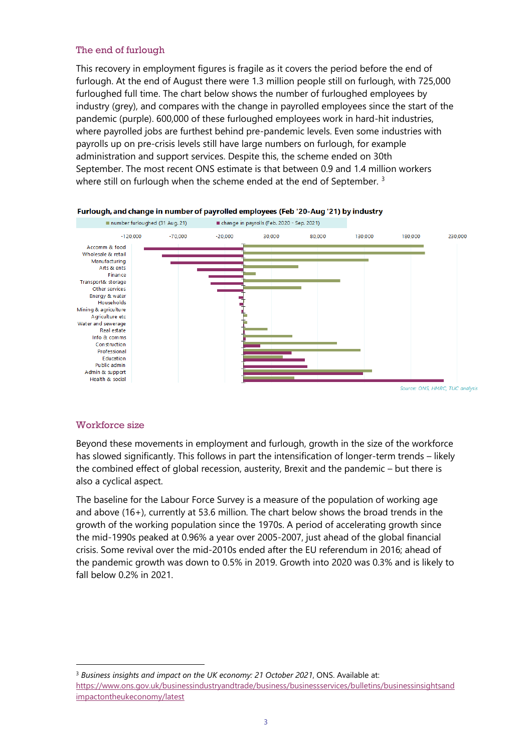#### The end of furlough

This recovery in employment figures is fragile as it covers the period before the end of furlough. At the end of August there were 1.3 million people still on furlough, with 725,000 furloughed full time. The chart below shows the number of furloughed employees by industry (grey), and compares with the change in payrolled employees since the start of the pandemic (purple). 600,000 of these furloughed employees work in hard-hit industries, where payrolled jobs are furthest behind pre-pandemic levels. Even some industries with payrolls up on pre-crisis levels still have large numbers on furlough, for example administration and support services. Despite this, the scheme ended on 30th September. The most recent ONS estimate is that between 0.9 and 1.4 million workers where still on furlough when the scheme ended at the end of September.<sup>[3](#page-2-0)</sup>



#### Furlough, and change in number of payrolled employees (Feb '20-Aug '21) by industry

#### Workforce size

Beyond these movements in employment and furlough, growth in the size of the workforce has slowed significantly. This follows in part the intensification of longer-term trends – likely the combined effect of global recession, austerity, Brexit and the pandemic – but there is also a cyclical aspect.

The baseline for the Labour Force Survey is a measure of the population of working age and above (16+), currently at 53.6 million. The chart below shows the broad trends in the growth of the working population since the 1970s. A period of accelerating growth since the mid-1990s peaked at 0.96% a year over 2005-2007, just ahead of the global financial crisis. Some revival over the mid-2010s ended after the EU referendum in 2016; ahead of the pandemic growth was down to 0.5% in 2019. Growth into 2020 was 0.3% and is likely to fall below 0.2% in 2021.

<span id="page-2-0"></span><sup>3</sup> *Business insights and impact on the UK economy: 21 October 2021*, ONS. Available at: [https://www.ons.gov.uk/businessindustryandtrade/business/businessservices/bulletins/businessinsightsand](https://www.ons.gov.uk/businessindustryandtrade/business/businessservices/bulletins/businessinsightsandimpactontheukeconomy/latest) [impactontheukeconomy/latest](https://www.ons.gov.uk/businessindustryandtrade/business/businessservices/bulletins/businessinsightsandimpactontheukeconomy/latest)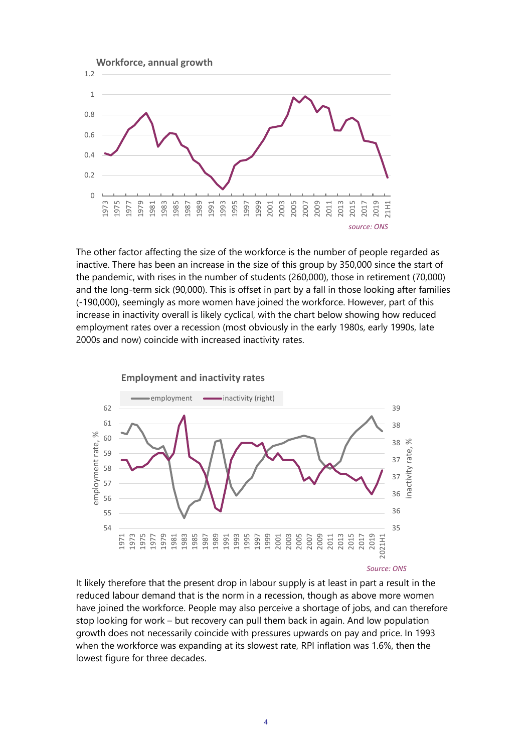

The other factor affecting the size of the workforce is the number of people regarded as inactive. There has been an increase in the size of this group by 350,000 since the start of the pandemic, with rises in the number of students (260,000), those in retirement (70,000) and the long-term sick (90,000). This is offset in part by a fall in those looking after families (-190,000), seemingly as more women have joined the workforce. However, part of this increase in inactivity overall is likely cyclical, with the chart below showing how reduced employment rates over a recession (most obviously in the early 1980s, early 1990s, late 2000s and now) coincide with increased inactivity rates.



It likely therefore that the present drop in labour supply is at least in part a result in the reduced labour demand that is the norm in a recession, though as above more women have joined the workforce. People may also perceive a shortage of jobs, and can therefore stop looking for work – but recovery can pull them back in again. And low population growth does not necessarily coincide with pressures upwards on pay and price. In 1993 when the workforce was expanding at its slowest rate, RPI inflation was 1.6%, then the lowest figure for three decades.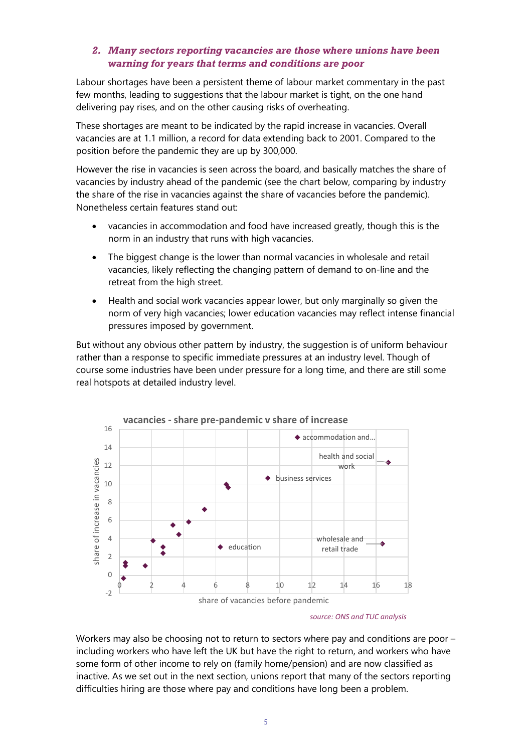#### *2. Many sectors reporting vacancies are those where unions have been warning for years that terms and conditions are poor*

Labour shortages have been a persistent theme of labour market commentary in the past few months, leading to suggestions that the labour market is tight, on the one hand delivering pay rises, and on the other causing risks of overheating.

These shortages are meant to be indicated by the rapid increase in vacancies. Overall vacancies are at 1.1 million, a record for data extending back to 2001. Compared to the position before the pandemic they are up by 300,000.

However the rise in vacancies is seen across the board, and basically matches the share of vacancies by industry ahead of the pandemic (see the chart below, comparing by industry the share of the rise in vacancies against the share of vacancies before the pandemic). Nonetheless certain features stand out:

- vacancies in accommodation and food have increased greatly, though this is the norm in an industry that runs with high vacancies.
- The biggest change is the lower than normal vacancies in wholesale and retail vacancies, likely reflecting the changing pattern of demand to on-line and the retreat from the high street.
- Health and social work vacancies appear lower, but only marginally so given the norm of very high vacancies; lower education vacancies may reflect intense financial pressures imposed by government.

But without any obvious other pattern by industry, the suggestion is of uniform behaviour rather than a response to specific immediate pressures at an industry level. Though of course some industries have been under pressure for a long time, and there are still some real hotspots at detailed industry level.



#### *source: ONS and TUC analysis*

Workers may also be choosing not to return to sectors where pay and conditions are poor including workers who have left the UK but have the right to return, and workers who have some form of other income to rely on (family home/pension) and are now classified as inactive. As we set out in the next section, unions report that many of the sectors reporting difficulties hiring are those where pay and conditions have long been a problem.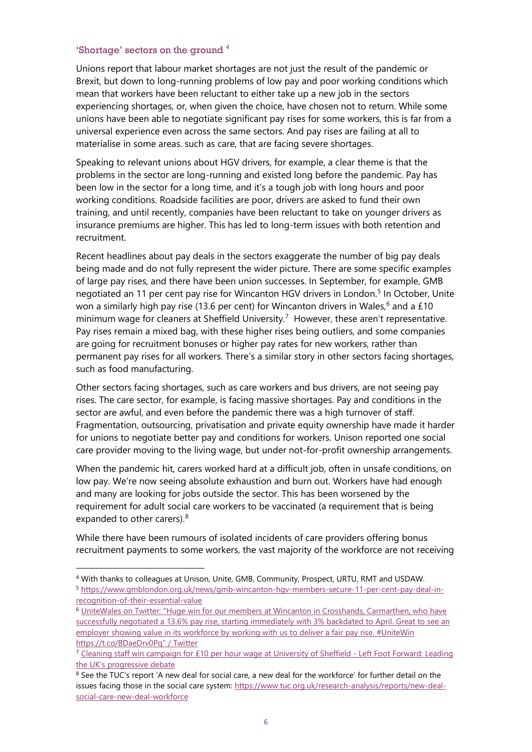#### 'Shortage' sectors on the ground [4](#page-5-0)

Unions report that labour market shortages are not just the result of the pandemic or Brexit, but down to long-running problems of low pay and poor working conditions which mean that workers have been reluctant to either take up a new job in the sectors experiencing shortages, or, when given the choice, have chosen not to return. While some unions have been able to negotiate significant pay rises for some workers, this is far from a universal experience even across the same sectors. And pay rises are failing at all to materialise in some areas. such as care, that are facing severe shortages.

Speaking to relevant unions about HGV drivers, for example, a clear theme is that the problems in the sector are long-running and existed long before the pandemic. Pay has been low in the sector for a long time, and it's a tough job with long hours and poor working conditions. Roadside facilities are poor, drivers are asked to fund their own training, and until recently, companies have been reluctant to take on younger drivers as insurance premiums are higher. This has led to long-term issues with both retention and recruitment.

Recent headlines about pay deals in the sectors exaggerate the number of big pay deals being made and do not fully represent the wider picture. There are some specific examples of large pay rises, and there have been union successes. In September, for example, GMB negotiated an 11 per cent pay rise for Wincanton HGV drivers in London. [5](#page-5-1) In October, Unite won a similarly high pay rise (13.[6](#page-5-2) per cent) for Wincanton drivers in Wales,<sup>6</sup> and a £10 minimum wage for cleaners at Sheffield University.<sup>[7](#page-5-3)</sup> However, these aren't representative. Pay rises remain a mixed bag, with these higher rises being outliers, and some companies are going for recruitment bonuses or higher pay rates for new workers, rather than permanent pay rises for all workers. There's a similar story in other sectors facing shortages, such as food manufacturing.

Other sectors facing shortages, such as care workers and bus drivers, are not seeing pay rises. The care sector, for example, is facing massive shortages. Pay and conditions in the sector are awful, and even before the pandemic there was a high turnover of staff. Fragmentation, outsourcing, privatisation and private equity ownership have made it harder for unions to negotiate better pay and conditions for workers. Unison reported one social care provider moving to the living wage, but under not-for-profit ownership arrangements.

When the pandemic hit, carers worked hard at a difficult job, often in unsafe conditions, on low pay. We're now seeing absolute exhaustion and burn out. Workers have had enough and many are looking for jobs outside the sector. This has been worsened by the requirement for adult social care workers to be vaccinated (a requirement that is being expanded to other carers).<sup>[8](#page-5-4)</sup>

While there have been rumours of isolated incidents of care providers offering bonus recruitment payments to some workers, the vast majority of the workforce are not receiving

<span id="page-5-0"></span><sup>4</sup> With thanks to colleagues at Unison, Unite, GMB, Community, Prospect, URTU, RMT and USDAW.

<span id="page-5-1"></span><sup>5</sup> [https://www.gmblondon.org.uk/news/gmb-wincanton-hgv-members-secure-11-per-cent-pay-deal-in](https://www.gmblondon.org.uk/news/gmb-wincanton-hgv-members-secure-11-per-cent-pay-deal-in-recognition-of-their-essential-value)[recognition-of-their-essential-value](https://www.gmblondon.org.uk/news/gmb-wincanton-hgv-members-secure-11-per-cent-pay-deal-in-recognition-of-their-essential-value)

<span id="page-5-2"></span><sup>6</sup> [UniteWales on Twitter: "Huge win for our members at Wincanton in Crosshands, Carmarthen, who have](https://twitter.com/unitewales/status/1446091377507438603)  successfully negotiated a 13.6% pay rise, starting immediately with 3% backdated to April. Great to see an employer showing value in its workforce by working with us to deliver a fair pay rise. #UniteWin [https://t.co/BDaeDrv0Pq" / Twitter](https://twitter.com/unitewales/status/1446091377507438603)

<span id="page-5-3"></span><sup>&</sup>lt;sup>7</sup> [Cleaning staff win campaign for £10 per hour wage at University of Sheffield -](https://leftfootforward.org/2021/10/cleaning-staff-win-campaign-for-10-per-hour-wage-at-university-of-sheffield/?doing_wp_cron=1634827725.1241679191589355468750) Left Foot Forward: Leading [the UK's progressive debate](https://leftfootforward.org/2021/10/cleaning-staff-win-campaign-for-10-per-hour-wage-at-university-of-sheffield/?doing_wp_cron=1634827725.1241679191589355468750)

<span id="page-5-4"></span><sup>&</sup>lt;sup>8</sup> See the TUC's report 'A new deal for social care, a new deal for the workforce' for further detail on the issues facing those in the social care system[: https://www.tuc.org.uk/research-analysis/reports/new-deal](https://www.tuc.org.uk/research-analysis/reports/new-deal-social-care-new-deal-workforce)[social-care-new-deal-workforce](https://www.tuc.org.uk/research-analysis/reports/new-deal-social-care-new-deal-workforce)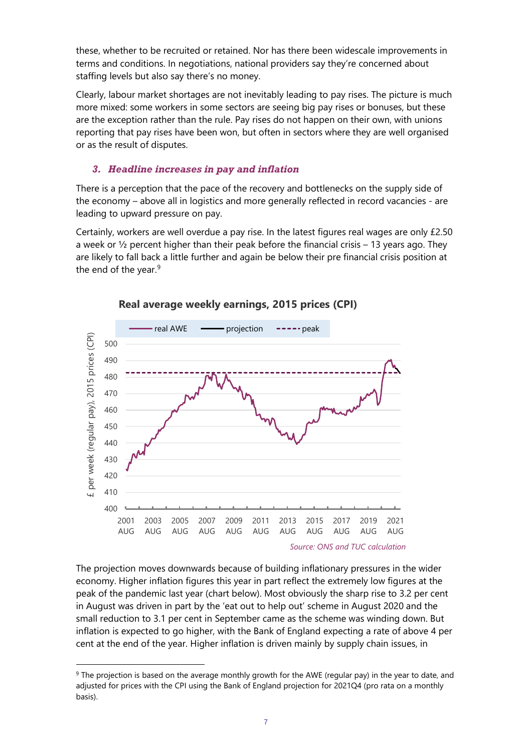these, whether to be recruited or retained. Nor has there been widescale improvements in terms and conditions. In negotiations, national providers say they're concerned about staffing levels but also say there's no money.

Clearly, labour market shortages are not inevitably leading to pay rises. The picture is much more mixed: some workers in some sectors are seeing big pay rises or bonuses, but these are the exception rather than the rule. Pay rises do not happen on their own, with unions reporting that pay rises have been won, but often in sectors where they are well organised or as the result of disputes.

## *3. Headline increases in pay and inflation*

There is a perception that the pace of the recovery and bottlenecks on the supply side of the economy – above all in logistics and more generally reflected in record vacancies - are leading to upward pressure on pay.

Certainly, workers are well overdue a pay rise. In the latest figures real wages are only £2.50 a week or  $\frac{1}{2}$  percent higher than their peak before the financial crisis – 13 years ago. They are likely to fall back a little further and again be below their pre financial crisis position at the end of the year.<sup>[9](#page-6-0)</sup>





The projection moves downwards because of building inflationary pressures in the wider economy. Higher inflation figures this year in part reflect the extremely low figures at the peak of the pandemic last year (chart below). Most obviously the sharp rise to 3.2 per cent in August was driven in part by the 'eat out to help out' scheme in August 2020 and the small reduction to 3.1 per cent in September came as the scheme was winding down. But inflation is expected to go higher, with the Bank of England expecting a rate of above 4 per cent at the end of the year. Higher inflation is driven mainly by supply chain issues, in

<span id="page-6-0"></span><sup>&</sup>lt;sup>9</sup> The projection is based on the average monthly growth for the AWE (regular pay) in the year to date, and adjusted for prices with the CPI using the Bank of England projection for 2021Q4 (pro rata on a monthly basis).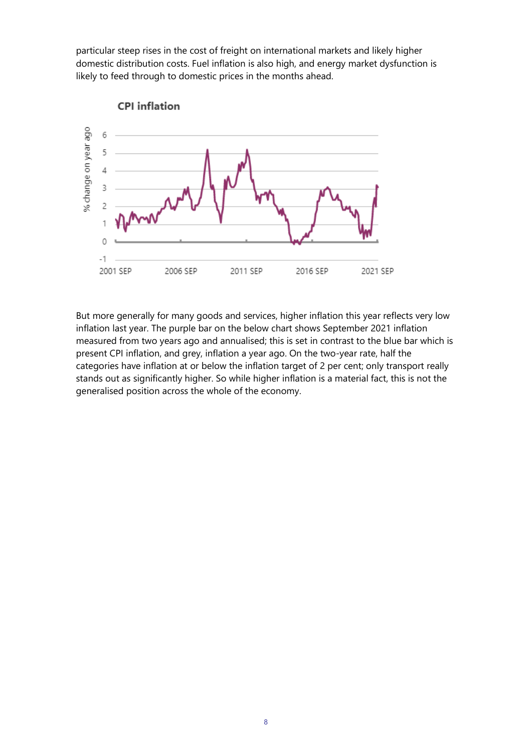particular steep rises in the cost of freight on international markets and likely higher domestic distribution costs. Fuel inflation is also high, and energy market dysfunction is likely to feed through to domestic prices in the months ahead.



But more generally for many goods and services, higher inflation this year reflects very low inflation last year. The purple bar on the below chart shows September 2021 inflation measured from two years ago and annualised; this is set in contrast to the blue bar which is present CPI inflation, and grey, inflation a year ago. On the two-year rate, half the categories have inflation at or below the inflation target of 2 per cent; only transport really stands out as significantly higher. So while higher inflation is a material fact, this is not the generalised position across the whole of the economy.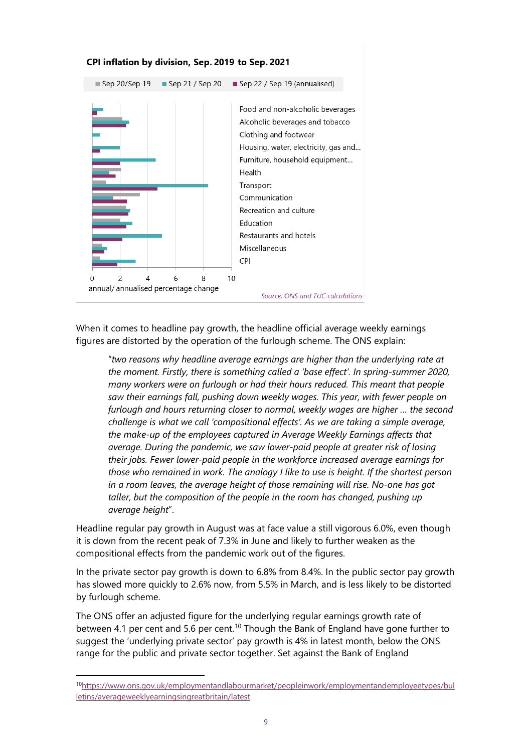

When it comes to headline pay growth, the headline official average weekly earnings figures are distorted by the operation of the furlough scheme. The ONS explain:

"*two reasons why headline average earnings are higher than the underlying rate at the moment. Firstly, there is something called a 'base effect'. In spring-summer 2020, many workers were on furlough or had their hours reduced. This meant that people saw their earnings fall, pushing down weekly wages. This year, with fewer people on furlough and hours returning closer to normal, weekly wages are higher … the second challenge is what we call 'compositional effects'. As we are taking a simple average, the make-up of the employees captured in Average Weekly Earnings affects that average. During the pandemic, we saw lower-paid people at greater risk of losing their jobs. Fewer lower-paid people in the workforce increased average earnings for those who remained in work. The analogy I like to use is height. If the shortest person in a room leaves, the average height of those remaining will rise. No-one has got taller, but the composition of the people in the room has changed, pushing up average height*".

Headline regular pay growth in August was at face value a still vigorous 6.0%, even though it is down from the recent peak of 7.3% in June and likely to further weaken as the compositional effects from the pandemic work out of the figures.

In the private sector pay growth is down to 6.8% from 8.4%. In the public sector pay growth has slowed more quickly to 2.6% now, from 5.5% in March, and is less likely to be distorted by furlough scheme.

The ONS offer an adjusted figure for the underlying regular earnings growth rate of between 4.1 per cent and 5.6 per cent.<sup>[10](#page-8-0)</sup> Though the Bank of England have gone further to suggest the 'underlying private sector' pay growth is 4% in latest month, below the ONS range for the public and private sector together. Set against the Bank of England

<span id="page-8-0"></span><sup>1</sup>[0https://www.ons.gov.uk/employmentandlabourmarket/peopleinwork/employmentandemployeetypes/bul](https://www.ons.gov.uk/employmentandlabourmarket/peopleinwork/employmentandemployeetypes/bulletins/averageweeklyearningsingreatbritain/latest) [letins/averageweeklyearningsingreatbritain/latest](https://www.ons.gov.uk/employmentandlabourmarket/peopleinwork/employmentandemployeetypes/bulletins/averageweeklyearningsingreatbritain/latest)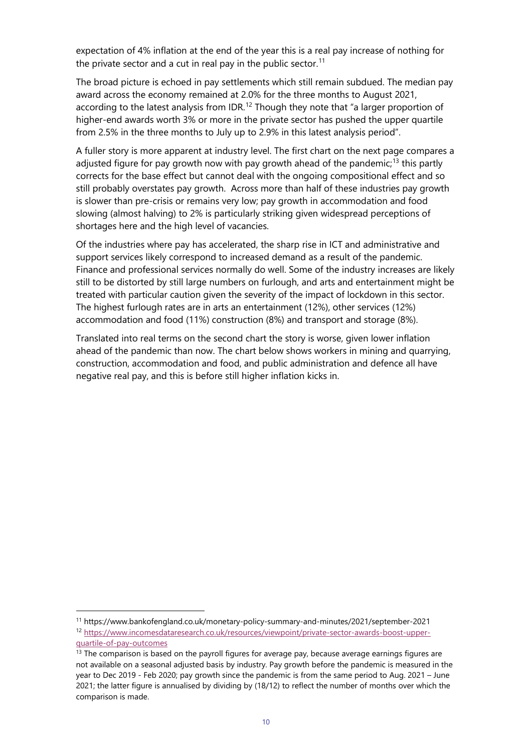expectation of 4% inflation at the end of the year this is a real pay increase of nothing for the private sector and a cut in real pay in the public sector.<sup>[11](#page-9-0)</sup>

The broad picture is echoed in pay settlements which still remain subdued. The median pay award across the economy remained at 2.0% for the three months to August 2021, according to the latest analysis from IDR.<sup>[12](#page-9-1)</sup> Though they note that "a larger proportion of higher-end awards worth 3% or more in the private sector has pushed the upper quartile from 2.5% in the three months to July up to 2.9% in this latest analysis period".

A fuller story is more apparent at industry level. The first chart on the next page compares a adjusted figure for pay growth now with pay growth ahead of the pandemic;<sup>[13](#page-9-2)</sup> this partly corrects for the base effect but cannot deal with the ongoing compositional effect and so still probably overstates pay growth. Across more than half of these industries pay growth is slower than pre-crisis or remains very low; pay growth in accommodation and food slowing (almost halving) to 2% is particularly striking given widespread perceptions of shortages here and the high level of vacancies.

Of the industries where pay has accelerated, the sharp rise in ICT and administrative and support services likely correspond to increased demand as a result of the pandemic. Finance and professional services normally do well. Some of the industry increases are likely still to be distorted by still large numbers on furlough, and arts and entertainment might be treated with particular caution given the severity of the impact of lockdown in this sector. The highest furlough rates are in arts an entertainment (12%), other services (12%) accommodation and food (11%) construction (8%) and transport and storage (8%).

Translated into real terms on the second chart the story is worse, given lower inflation ahead of the pandemic than now. The chart below shows workers in mining and quarrying, construction, accommodation and food, and public administration and defence all have negative real pay, and this is before still higher inflation kicks in.

<span id="page-9-1"></span><span id="page-9-0"></span><sup>11</sup> <https://www.bankofengland.co.uk/monetary-policy-summary-and-minutes/2021/september-2021> <sup>12</sup> [https://www.incomesdataresearch.co.uk/resources/viewpoint/private-sector-awards-boost-upper](https://www.incomesdataresearch.co.uk/resources/viewpoint/private-sector-awards-boost-upper-quartile-of-pay-outcomes)[quartile-of-pay-outcomes](https://www.incomesdataresearch.co.uk/resources/viewpoint/private-sector-awards-boost-upper-quartile-of-pay-outcomes)

<span id="page-9-2"></span> $<sup>13</sup>$  The comparison is based on the payroll figures for average pay, because average earnings figures are</sup> not available on a seasonal adjusted basis by industry. Pay growth before the pandemic is measured in the year to Dec 2019 - Feb 2020; pay growth since the pandemic is from the same period to Aug. 2021 – June 2021; the latter figure is annualised by dividing by (18/12) to reflect the number of months over which the comparison is made.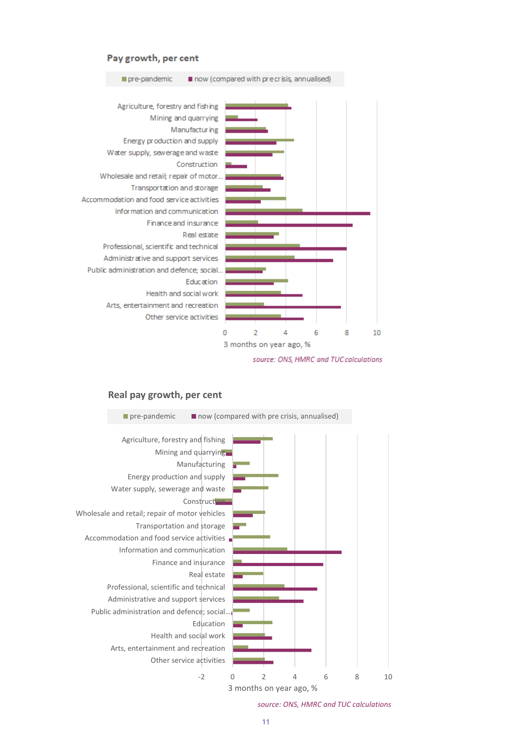#### Pay growth, per cent

pre-pandemic

Agriculture, forestry and fishing Mining and quarrying Manufacturing Energy production and supply Water supply, sewerage and waste Construction Wholesale and retail; repair of motor... Transportation and storage Accommodation and food service activities Information and communication Finance and insurance Real estate Professional, scientific and technical Administrative and support services Public administration and defence; social.. **Education** Health and social work Arts, entertainment and recreation Other service activities 0  $\overline{2}$ 4 6 8 10 3 months on year ago, %

now (compared with precrisis, annualised)

source: ONS, HMRC and TUC calculations

#### **Real pay growth, per cent**



*source: ONS, HMRC and TUC calculations*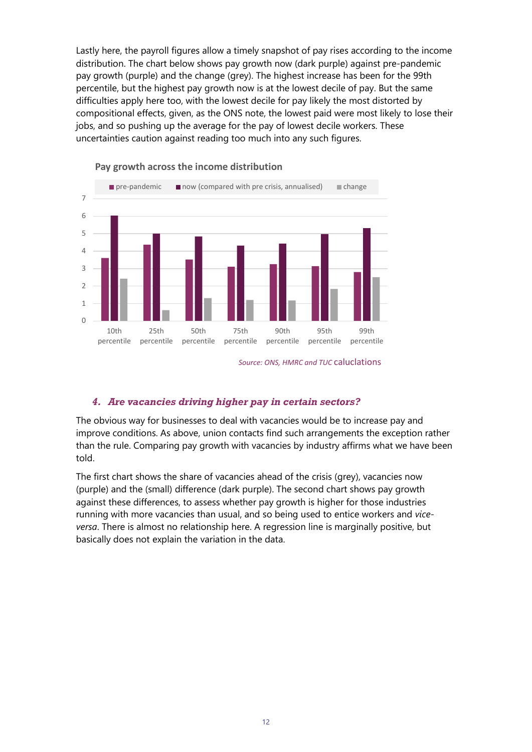Lastly here, the payroll figures allow a timely snapshot of pay rises according to the income distribution. The chart below shows pay growth now (dark purple) against pre-pandemic pay growth (purple) and the change (grey). The highest increase has been for the 99th percentile, but the highest pay growth now is at the lowest decile of pay. But the same difficulties apply here too, with the lowest decile for pay likely the most distorted by compositional effects, given, as the ONS note, the lowest paid were most likely to lose their jobs, and so pushing up the average for the pay of lowest decile workers. These uncertainties caution against reading too much into any such figures.



**Pay growth across the income distribution**

#### *4. Are vacancies driving higher pay in certain sectors?*

The obvious way for businesses to deal with vacancies would be to increase pay and improve conditions. As above, union contacts find such arrangements the exception rather than the rule. Comparing pay growth with vacancies by industry affirms what we have been told.

The first chart shows the share of vacancies ahead of the crisis (grey), vacancies now (purple) and the (small) difference (dark purple). The second chart shows pay growth against these differences, to assess whether pay growth is higher for those industries running with more vacancies than usual, and so being used to entice workers and *viceversa*. There is almost no relationship here. A regression line is marginally positive, but basically does not explain the variation in the data.

*Source: ONS, HMRC and TUC* caluclations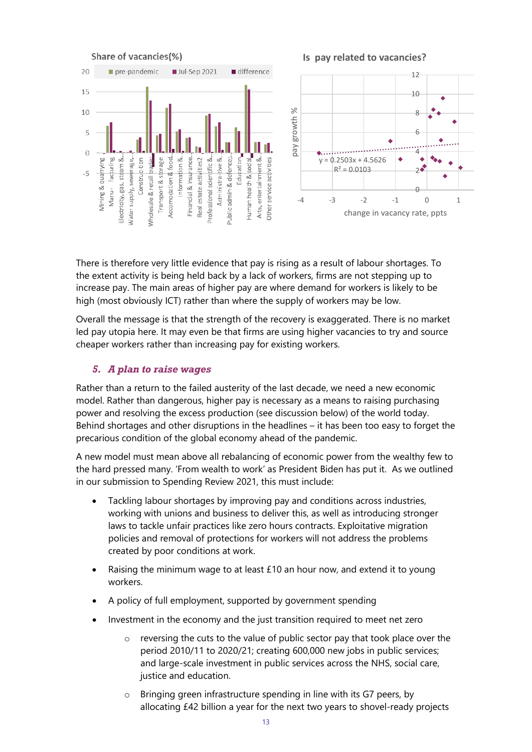

There is therefore very little evidence that pay is rising as a result of labour shortages. To the extent activity is being held back by a lack of workers, firms are not stepping up to increase pay. The main areas of higher pay are where demand for workers is likely to be high (most obviously ICT) rather than where the supply of workers may be low.

Overall the message is that the strength of the recovery is exaggerated. There is no market led pay utopia here. It may even be that firms are using higher vacancies to try and source cheaper workers rather than increasing pay for existing workers.

## *5. A plan to raise wages*

Rather than a return to the failed austerity of the last decade, we need a new economic model. Rather than dangerous, higher pay is necessary as a means to raising purchasing power and resolving the excess production (see discussion below) of the world today. Behind shortages and other disruptions in the headlines – it has been too easy to forget the precarious condition of the global economy ahead of the pandemic.

A new model must mean above all rebalancing of economic power from the wealthy few to the hard pressed many. 'From wealth to work' as President Biden has put it. As we outlined in our submission to Spending Review 2021, this must include:

- Tackling labour shortages by improving pay and conditions across industries, working with unions and business to deliver this, as well as introducing stronger laws to tackle unfair practices like zero hours contracts. Exploitative migration policies and removal of protections for workers will not address the problems created by poor conditions at work.
- Raising the minimum wage to at least  $£10$  an hour now, and extend it to young workers.
- A policy of full employment, supported by government spending
- Investment in the economy and the just transition required to meet net zero
	- reversing the cuts to the value of public sector pay that took place over the period 2010/11 to 2020/21; creating 600,000 new jobs in public services; and large-scale investment in public services across the NHS, social care, justice and education.
	- o Bringing green infrastructure spending in line with its G7 peers, by allocating £42 billion a year for the next two years to shovel-ready projects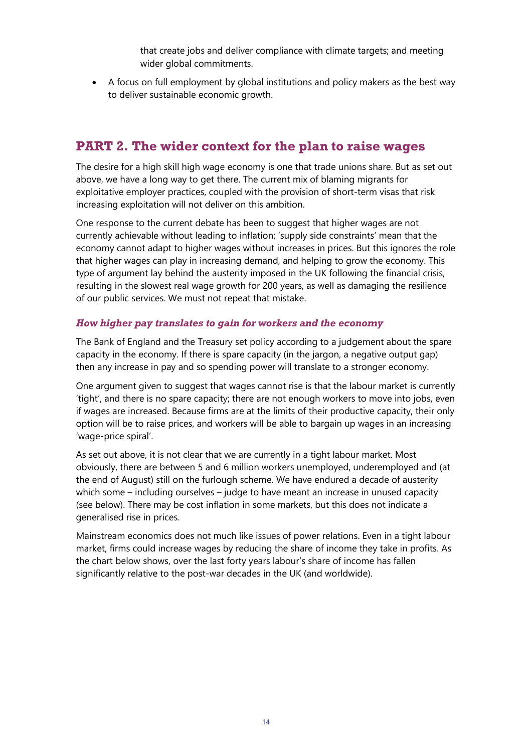that create jobs and deliver compliance with climate targets; and meeting wider global commitments.

• A focus on full employment by global institutions and policy makers as the best way to deliver sustainable economic growth.

# **PART 2. The wider context for the plan to raise wages**

The desire for a high skill high wage economy is one that trade unions share. But as set out above, we have a long way to get there. The current mix of blaming migrants for exploitative employer practices, coupled with the provision of short-term visas that risk increasing exploitation will not deliver on this ambition.

One response to the current debate has been to suggest that higher wages are not currently achievable without leading to inflation; 'supply side constraints' mean that the economy cannot adapt to higher wages without increases in prices. But this ignores the role that higher wages can play in increasing demand, and helping to grow the economy. This type of argument lay behind the austerity imposed in the UK following the financial crisis, resulting in the slowest real wage growth for 200 years, as well as damaging the resilience of our public services. We must not repeat that mistake.

## *How higher pay translates to gain for workers and the economy*

The Bank of England and the Treasury set policy according to a judgement about the spare capacity in the economy. If there is spare capacity (in the jargon, a negative output gap) then any increase in pay and so spending power will translate to a stronger economy.

One argument given to suggest that wages cannot rise is that the labour market is currently 'tight', and there is no spare capacity; there are not enough workers to move into jobs, even if wages are increased. Because firms are at the limits of their productive capacity, their only option will be to raise prices, and workers will be able to bargain up wages in an increasing 'wage-price spiral'.

As set out above, it is not clear that we are currently in a tight labour market. Most obviously, there are between 5 and 6 million workers unemployed, underemployed and (at the end of August) still on the furlough scheme. We have endured a decade of austerity which some – including ourselves – judge to have meant an increase in unused capacity (see below). There may be cost inflation in some markets, but this does not indicate a generalised rise in prices.

Mainstream economics does not much like issues of power relations. Even in a tight labour market, firms could increase wages by reducing the share of income they take in profits. As the chart below shows, over the last forty years labour's share of income has fallen significantly relative to the post-war decades in the UK (and worldwide).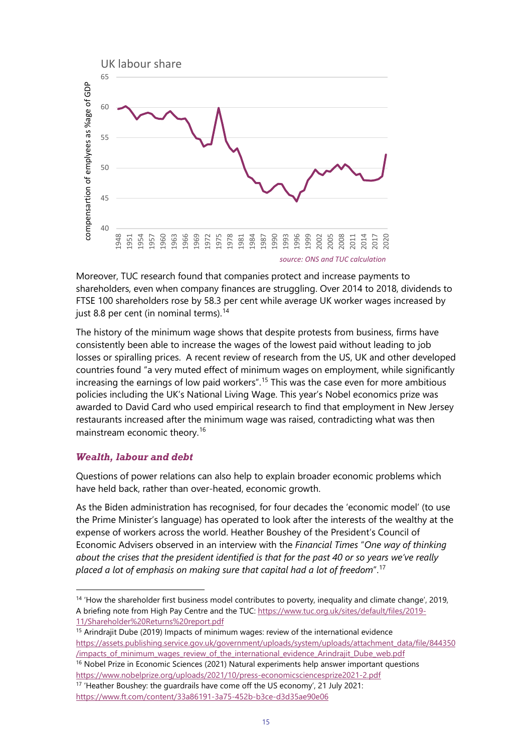

Moreover, TUC research found that companies protect and increase payments to shareholders, even when company finances are struggling. Over 2014 to 2018, dividends to FTSE 100 shareholders rose by 58.3 per cent while average UK worker wages increased by just 8.8 per cent (in nominal terms).<sup>[14](#page-14-0)</sup>

The history of the minimum wage shows that despite protests from business, firms have consistently been able to increase the wages of the lowest paid without leading to job losses or spiralling prices. A recent review of research from the US, UK and other developed countries found "a very muted effect of minimum wages on employment, while significantly increasing the earnings of low paid workers". [15](#page-14-1) This was the case even for more ambitious policies including the UK's National Living Wage. This year's Nobel economics prize was awarded to David Card who used empirical research to find that employment in New Jersey restaurants increased after the minimum wage was raised, contradicting what was then mainstream economic theory.[16](#page-14-2)

#### *Wealth, labour and debt*

Questions of power relations can also help to explain broader economic problems which have held back, rather than over-heated, economic growth.

As the Biden administration has recognised, for four decades the 'economic model' (to use the Prime Minister's language) has operated to look after the interests of the wealthy at the expense of workers across the world. Heather Boushey of the President's Council of Economic Advisers observed in an interview with the *Financial Times* "*One way of thinking about the crises that the president identified is that for the past 40 or so years we've really placed a lot of emphasis on making sure that capital had a lot of freedom*". [17](#page-14-3)

<span id="page-14-2"></span><sup>16</sup> Nobel Prize in Economic Sciences (2021) Natural experiments help answer important questions <https://www.nobelprize.org/uploads/2021/10/press-economicsciencesprize2021-2.pdf>

<span id="page-14-0"></span><sup>&</sup>lt;sup>14</sup> 'How the shareholder first business model contributes to poverty, inequality and climate change', 2019, A briefing note from High Pay Centre and the TUC[: https://www.tuc.org.uk/sites/default/files/2019-](https://www.tuc.org.uk/sites/default/files/2019-11/Shareholder%20Returns%20report.pdf) [11/Shareholder%20Returns%20report.pdf](https://www.tuc.org.uk/sites/default/files/2019-11/Shareholder%20Returns%20report.pdf)

<span id="page-14-1"></span><sup>&</sup>lt;sup>15</sup> Arindrajit Dube (2019) Impacts of minimum wages: review of the international evidence [https://assets.publishing.service.gov.uk/government/uploads/system/uploads/attachment\\_data/file/844350](https://assets.publishing.service.gov.uk/government/uploads/system/uploads/attachment_data/file/844350%20/impacts_of_minimum_wages_review_of_the_international_evidence_Arindrajit_Dube_web.pdf)  [/impacts\\_of\\_minimum\\_wages\\_review\\_of\\_the\\_international\\_evidence\\_Arindrajit\\_Dube\\_web.pdf](https://assets.publishing.service.gov.uk/government/uploads/system/uploads/attachment_data/file/844350%20/impacts_of_minimum_wages_review_of_the_international_evidence_Arindrajit_Dube_web.pdf)

<span id="page-14-3"></span><sup>17</sup> 'Heather Boushey: the guardrails have come off the US economy', 21 July 2021: <https://www.ft.com/content/33a86191-3a75-452b-b3ce-d3d35ae90e06>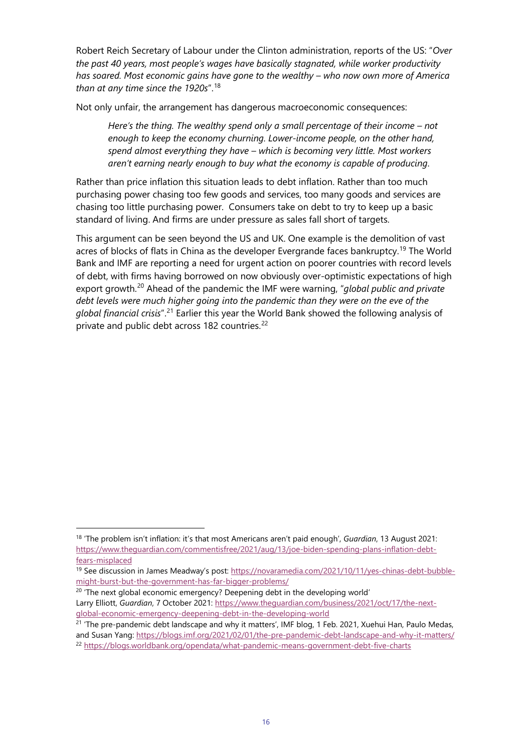Robert Reich Secretary of Labour under the Clinton administration, reports of the US: "*Over the past 40 years, most people's wages have basically stagnated, while worker productivity has soared. Most economic gains have gone to the wealthy – who now own more of America than at any time since the 1920s*".[18](#page-15-0)

Not only unfair, the arrangement has dangerous macroeconomic consequences:

*Here's the thing. The wealthy spend only a small percentage of their income – not enough to keep the economy churning. Lower-income people, on the other hand, spend almost everything they have – which is becoming very little. Most workers aren't earning nearly enough to buy what the economy is capable of producing*.

Rather than price inflation this situation leads to debt inflation. Rather than too much purchasing power chasing too few goods and services, too many goods and services are chasing too little purchasing power. Consumers take on debt to try to keep up a basic standard of living. And firms are under pressure as sales fall short of targets.

This argument can be seen beyond the US and UK. One example is the demolition of vast acres of blocks of flats in China as the developer Evergrande faces bankruptcy.<sup>[19](#page-15-1)</sup> The World Bank and IMF are reporting a need for urgent action on poorer countries with record levels of debt, with firms having borrowed on now obviously over-optimistic expectations of high export growth.[20](#page-15-2) Ahead of the pandemic the IMF were warning, "*global public and private debt levels were much higher going into the pandemic than they were on the eve of the global financial crisis*".[21](#page-15-3) Earlier this year the World Bank showed the following analysis of private and public debt across 182 countries.<sup>[22](#page-15-4)</sup>

<span id="page-15-0"></span><sup>18</sup> 'The problem isn't inflation: it's that most Americans aren't paid enough', *Guardian*, 13 August 2021: [https://www.theguardian.com/commentisfree/2021/aug/13/joe-biden-spending-plans-inflation-debt](https://www.theguardian.com/commentisfree/2021/aug/13/joe-biden-spending-plans-inflation-debt-fears-misplaced)[fears-misplaced](https://www.theguardian.com/commentisfree/2021/aug/13/joe-biden-spending-plans-inflation-debt-fears-misplaced)

<span id="page-15-1"></span><sup>&</sup>lt;sup>19</sup> See discussion in James Meadway's post: [https://novaramedia.com/2021/10/11/yes-chinas-debt-bubble](https://novaramedia.com/2021/10/11/yes-chinas-debt-bubble-might-burst-but-the-government-has-far-bigger-problems/)[might-burst-but-the-government-has-far-bigger-problems/](https://novaramedia.com/2021/10/11/yes-chinas-debt-bubble-might-burst-but-the-government-has-far-bigger-problems/)

<span id="page-15-2"></span><sup>&</sup>lt;sup>20</sup> 'The next global economic emergency? Deepening debt in the developing world' Larry Elliott, Guardian, 7 October 2021[: https://www.theguardian.com/business/2021/oct/17/the-next](https://www.theguardian.com/business/2021/oct/17/the-next-global-economic-emergency-deepening-debt-in-the-developing-world)[global-economic-emergency-deepening-debt-in-the-developing-world](https://www.theguardian.com/business/2021/oct/17/the-next-global-economic-emergency-deepening-debt-in-the-developing-world)

<span id="page-15-4"></span><span id="page-15-3"></span> $21$  'The pre-pandemic debt landscape and why it matters', IMF blog, 1 Feb. 2021, Xuehui Han, Paulo Medas, and Susan Yang[: https://blogs.imf.org/2021/02/01/the-pre-pandemic-debt-landscape-and-why-it-matters/](https://blogs.imf.org/2021/02/01/the-pre-pandemic-debt-landscape-and-why-it-matters/) <sup>22</sup> <https://blogs.worldbank.org/opendata/what-pandemic-means-government-debt-five-charts>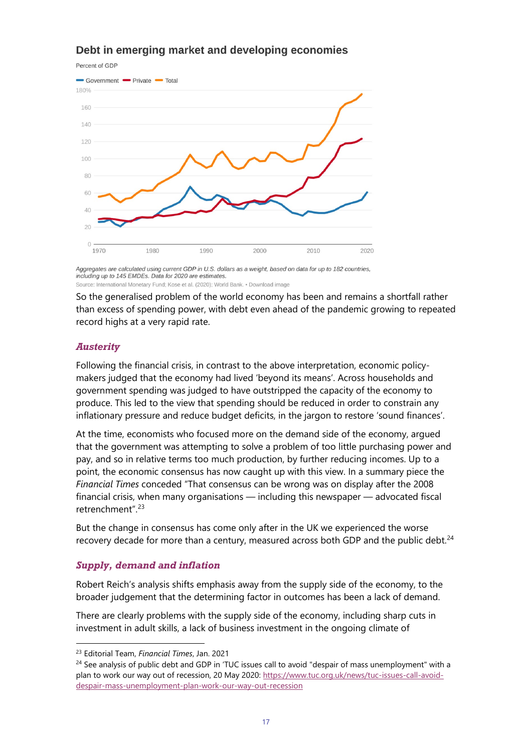# Debt in emerging market and developing economies

Percent of GDP



Aggregates are calculated using current GDP in U.S. dollars as a weight, based on data for up to 182 countries, including up to 145 EMDEs. Data for 2020 are estimates. Source: International Monetary Fund: Kose et al. (2020): World Bank. . Download image

So the generalised problem of the world economy has been and remains a shortfall rather than excess of spending power, with debt even ahead of the pandemic growing to repeated record highs at a very rapid rate.

## *Austerity*

Following the financial crisis, in contrast to the above interpretation, economic policymakers judged that the economy had lived 'beyond its means'. Across households and government spending was judged to have outstripped the capacity of the economy to produce. This led to the view that spending should be reduced in order to constrain any inflationary pressure and reduce budget deficits, in the jargon to restore 'sound finances'.

At the time, economists who focused more on the demand side of the economy, argued that the government was attempting to solve a problem of too little purchasing power and pay, and so in relative terms too much production, by further reducing incomes. Up to a point, the economic consensus has now caught up with this view. In a summary piece the *Financial Times* conceded "That consensus can be wrong was on display after the 2008 financial crisis, when many organisations — including this newspaper — advocated fiscal retrenchment". [23](#page-16-0)

But the change in consensus has come only after in the UK we experienced the worse recovery decade for more than a century, measured across both GDP and the public debt. $^{24}$ 

#### *Supply, demand and inflation*

Robert Reich's analysis shifts emphasis away from the supply side of the economy, to the broader judgement that the determining factor in outcomes has been a lack of demand.

There are clearly problems with the supply side of the economy, including sharp cuts in investment in adult skills, a lack of business investment in the ongoing climate of

<span id="page-16-0"></span><sup>23</sup> Editorial Team, *Financial Times*, Jan. 2021

<span id="page-16-1"></span><sup>&</sup>lt;sup>24</sup> See analysis of public debt and GDP in 'TUC issues call to avoid "despair of mass unemployment" with a plan to work our way out of recession, 20 May 2020: [https://www.tuc.org.uk/news/tuc-issues-call-avoid](https://www.tuc.org.uk/news/tuc-issues-call-avoid-despair-mass-unemployment-plan-work-our-way-out-recession)[despair-mass-unemployment-plan-work-our-way-out-recession](https://www.tuc.org.uk/news/tuc-issues-call-avoid-despair-mass-unemployment-plan-work-our-way-out-recession)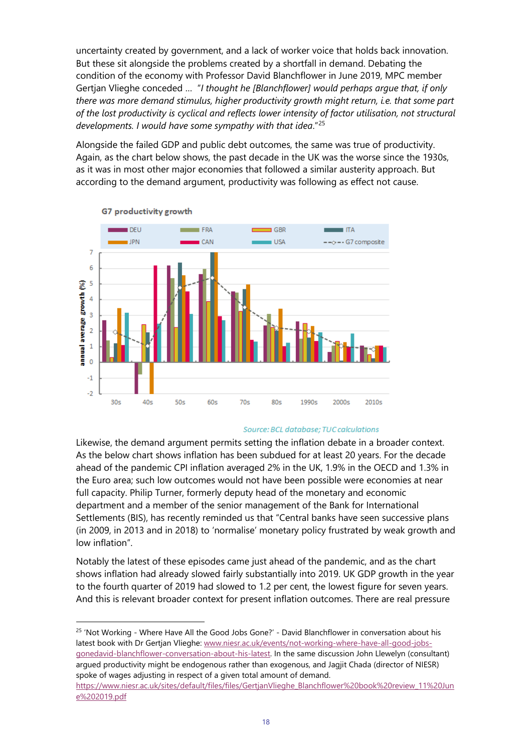uncertainty created by government, and a lack of worker voice that holds back innovation. But these sit alongside the problems created by a shortfall in demand. Debating the condition of the economy with Professor David Blanchflower in June 2019, MPC member Gertjan Vlieghe conceded … "*I thought he [Blanchflower] would perhaps argue that, if only there was more demand stimulus, higher productivity growth might return, i.e. that some part of the lost productivity is cyclical and reflects lower intensity of factor utilisation, not structural developments. I would have some sympathy with that idea*."[25](#page-17-0)

Alongside the failed GDP and public debt outcomes, the same was true of productivity. Again, as the chart below shows, the past decade in the UK was the worse since the 1930s, as it was in most other major economies that followed a similar austerity approach. But according to the demand argument, productivity was following as effect not cause.



G7 productivity growth

#### Source: BCL database; TUC calculations

Likewise, the demand argument permits setting the inflation debate in a broader context. As the below chart shows inflation has been subdued for at least 20 years. For the decade ahead of the pandemic CPI inflation averaged 2% in the UK, 1.9% in the OECD and 1.3% in the Euro area; such low outcomes would not have been possible were economies at near full capacity. Philip Turner, formerly deputy head of the monetary and economic department and a member of the senior management of the Bank for International Settlements (BIS), has recently reminded us that "Central banks have seen successive plans (in 2009, in 2013 and in 2018) to 'normalise' monetary policy frustrated by weak growth and low inflation".

Notably the latest of these episodes came just ahead of the pandemic, and as the chart shows inflation had already slowed fairly substantially into 2019. UK GDP growth in the year to the fourth quarter of 2019 had slowed to 1.2 per cent, the lowest figure for seven years. And this is relevant broader context for present inflation outcomes. There are real pressure

<span id="page-17-0"></span><sup>&</sup>lt;sup>25</sup> 'Not Working - Where Have All the Good Jobs Gone?' - David Blanchflower in conversation about his latest book with Dr Gertjan Vlieghe: [www.niesr.ac.uk/events/not-working-where-have-all-good-jobs](http://www.niesr.ac.uk/events/not-working-where-have-all-good-jobs-gonedavid-blanchflower-conversation-about-his-latest)[gonedavid-blanchflower-conversation-about-his-latest.](http://www.niesr.ac.uk/events/not-working-where-have-all-good-jobs-gonedavid-blanchflower-conversation-about-his-latest) In the same discussion John Llewelyn (consultant) argued productivity might be endogenous rather than exogenous, and Jagjit Chada (director of NIESR) spoke of wages adjusting in respect of a given total amount of demand.

[https://www.niesr.ac.uk/sites/default/files/files/GertjanVlieghe\\_Blanchflower%20book%20review\\_11%20Jun](https://www.niesr.ac.uk/sites/default/files/files/GertjanVlieghe_Blanchflower%20book%20review_11%20June%202019.pdf) [e%202019.pdf](https://www.niesr.ac.uk/sites/default/files/files/GertjanVlieghe_Blanchflower%20book%20review_11%20June%202019.pdf)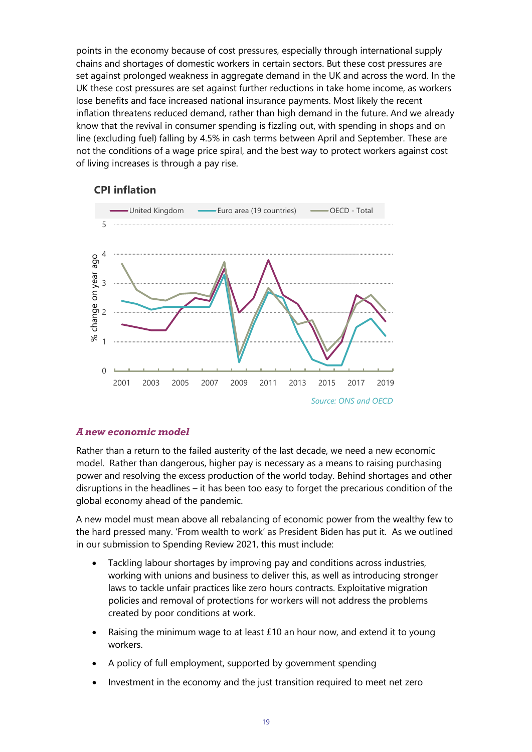points in the economy because of cost pressures, especially through international supply chains and shortages of domestic workers in certain sectors. But these cost pressures are set against prolonged weakness in aggregate demand in the UK and across the word. In the UK these cost pressures are set against further reductions in take home income, as workers lose benefits and face increased national insurance payments. Most likely the recent inflation threatens reduced demand, rather than high demand in the future. And we already know that the revival in consumer spending is fizzling out, with spending in shops and on line (excluding fuel) falling by 4.5% in cash terms between April and September. These are not the conditions of a wage price spiral, and the best way to protect workers against cost of living increases is through a pay rise.



#### **CPI inflation**

#### *A new economic model*

Rather than a return to the failed austerity of the last decade, we need a new economic model. Rather than dangerous, higher pay is necessary as a means to raising purchasing power and resolving the excess production of the world today. Behind shortages and other disruptions in the headlines – it has been too easy to forget the precarious condition of the global economy ahead of the pandemic.

A new model must mean above all rebalancing of economic power from the wealthy few to the hard pressed many. 'From wealth to work' as President Biden has put it. As we outlined in our submission to Spending Review 2021, this must include:

- Tackling labour shortages by improving pay and conditions across industries, working with unions and business to deliver this, as well as introducing stronger laws to tackle unfair practices like zero hours contracts. Exploitative migration policies and removal of protections for workers will not address the problems created by poor conditions at work.
- Raising the minimum wage to at least  $£10$  an hour now, and extend it to young workers.
- A policy of full employment, supported by government spending
- Investment in the economy and the just transition required to meet net zero